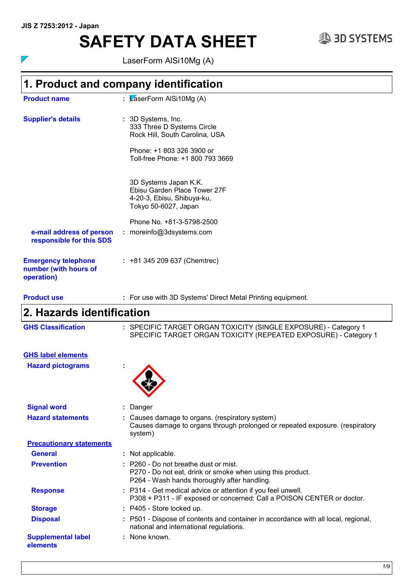# **SAFETY DATA SHEET**  $\text{SAB SYSTEMS}$

 $\overline{\phantom{a}}$ 

LaserForm AlSi10Mg (A)

### **1. Product and company identification**

| <b>Product name</b>                                               | : $\sqrt{2}$ aserForm AISi10Mg (A)                                                                                                                  |
|-------------------------------------------------------------------|-----------------------------------------------------------------------------------------------------------------------------------------------------|
| <b>Supplier's details</b>                                         | : 3D Systems, Inc.<br>333 Three D Systems Circle<br>Rock Hill, South Carolina, USA<br>Phone: +1 803 326 3900 or<br>Toll-free Phone: +1 800 793 3669 |
|                                                                   | 3D Systems Japan K.K.<br>Ebisu Garden Place Tower 27F<br>4-20-3, Ebisu, Shibuya-ku,<br>Tokyo 50-6027, Japan                                         |
| e-mail address of person<br>responsible for this SDS              | Phone No. +81-3-5798-2500<br>: moreinfo@3dsystems.com                                                                                               |
| <b>Emergency telephone</b><br>number (with hours of<br>operation) | $: +81345209637$ (Chemtrec)                                                                                                                         |

| <b>Product use</b> | : For use with 3D Systems' Direct Metal Printing equipment. |  |
|--------------------|-------------------------------------------------------------|--|
|                    |                                                             |  |

## **2. Hazards identification**

SPECIFIC TARGET ORGAN TOXICITY (SINGLE EXPOSURE) - Category 1 SPECIFIC TARGET ORGAN TOXICITY (REPEATED EXPOSURE) - Category 1 **GHS Classification :**

- **GHS label elements**
- **Hazard pictograms :**



| <b>Signal word</b>                           | $:$ Danger                                                                                                                                              |
|----------------------------------------------|---------------------------------------------------------------------------------------------------------------------------------------------------------|
| <b>Hazard statements</b>                     | : Causes damage to organs. (respiratory system)<br>Causes damage to organs through prolonged or repeated exposure. (respiratory<br>system)              |
| <b>Precautionary statements</b>              |                                                                                                                                                         |
| <b>General</b>                               | : Not applicable.                                                                                                                                       |
| <b>Prevention</b>                            | $\pm$ P260 - Do not breathe dust or mist.<br>P270 - Do not eat, drink or smoke when using this product.<br>P264 - Wash hands thoroughly after handling. |
| <b>Response</b>                              | : P314 - Get medical advice or attention if you feel unwell.<br>P308 + P311 - IF exposed or concerned: Call a POISON CENTER or doctor.                  |
| <b>Storage</b>                               | $:$ P405 - Store locked up.                                                                                                                             |
| <b>Disposal</b>                              | : P501 - Dispose of contents and container in accordance with all local, regional,<br>national and international regulations.                           |
| <b>Supplemental label</b><br><b>elements</b> | : None known.                                                                                                                                           |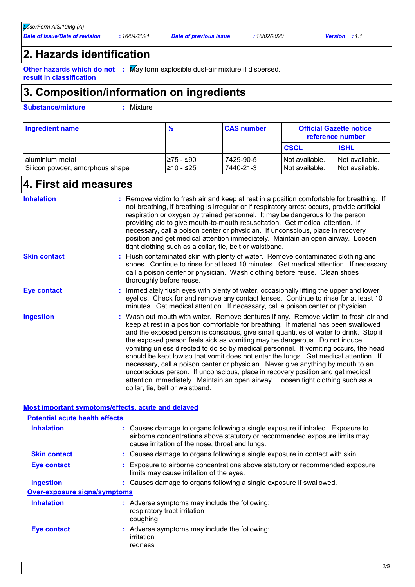### **2. Hazards identification**

**Other hazards which do not :** May form explosible dust-air mixture if dispersed.

**result in classification**

### **3. Composition/information on ingredients**

**Substance/mixture :** Mixture

| Ingredient name                                      | %                       | <b>CAS number</b>      | <b>Official Gazette notice</b><br>reference number |                                  |  |
|------------------------------------------------------|-------------------------|------------------------|----------------------------------------------------|----------------------------------|--|
|                                                      |                         |                        | <b>CSCL</b>                                        | <b>ISHL</b>                      |  |
| l aluminium metal<br>Silicon powder, amorphous shape | l≥75 - ≤90<br>210 - ≤25 | 7429-90-5<br>7440-21-3 | INot available.<br>Not available.                  | Not available.<br>Not available. |  |

### **4. First aid measures**

| <b>Inhalation</b>   | : Remove victim to fresh air and keep at rest in a position comfortable for breathing. If<br>not breathing, if breathing is irregular or if respiratory arrest occurs, provide artificial<br>respiration or oxygen by trained personnel. It may be dangerous to the person<br>providing aid to give mouth-to-mouth resuscitation. Get medical attention. If<br>necessary, call a poison center or physician. If unconscious, place in recovery<br>position and get medical attention immediately. Maintain an open airway. Loosen<br>tight clothing such as a collar, tie, belt or waistband.                                                                                                                                                                                                                                 |
|---------------------|-------------------------------------------------------------------------------------------------------------------------------------------------------------------------------------------------------------------------------------------------------------------------------------------------------------------------------------------------------------------------------------------------------------------------------------------------------------------------------------------------------------------------------------------------------------------------------------------------------------------------------------------------------------------------------------------------------------------------------------------------------------------------------------------------------------------------------|
| <b>Skin contact</b> | : Flush contaminated skin with plenty of water. Remove contaminated clothing and<br>shoes. Continue to rinse for at least 10 minutes. Get medical attention. If necessary,<br>call a poison center or physician. Wash clothing before reuse. Clean shoes<br>thoroughly before reuse.                                                                                                                                                                                                                                                                                                                                                                                                                                                                                                                                          |
| <b>Eye contact</b>  | : Immediately flush eyes with plenty of water, occasionally lifting the upper and lower<br>eyelids. Check for and remove any contact lenses. Continue to rinse for at least 10<br>minutes. Get medical attention. If necessary, call a poison center or physician.                                                                                                                                                                                                                                                                                                                                                                                                                                                                                                                                                            |
| <b>Ingestion</b>    | : Wash out mouth with water. Remove dentures if any. Remove victim to fresh air and<br>keep at rest in a position comfortable for breathing. If material has been swallowed<br>and the exposed person is conscious, give small quantities of water to drink. Stop if<br>the exposed person feels sick as vomiting may be dangerous. Do not induce<br>vomiting unless directed to do so by medical personnel. If vomiting occurs, the head<br>should be kept low so that vomit does not enter the lungs. Get medical attention. If<br>necessary, call a poison center or physician. Never give anything by mouth to an<br>unconscious person. If unconscious, place in recovery position and get medical<br>attention immediately. Maintain an open airway. Loosen tight clothing such as a<br>collar, tie, belt or waistband. |

### **Most important symptoms/effects, acute and delayed**

| <b>Potential acute health effects</b> |                                                                                                                                                                                                                |
|---------------------------------------|----------------------------------------------------------------------------------------------------------------------------------------------------------------------------------------------------------------|
| <b>Inhalation</b>                     | : Causes damage to organs following a single exposure if inhaled. Exposure to<br>airborne concentrations above statutory or recommended exposure limits may<br>cause irritation of the nose, throat and lungs. |
| <b>Skin contact</b>                   | : Causes damage to organs following a single exposure in contact with skin.                                                                                                                                    |
| Eye contact                           | : Exposure to airborne concentrations above statutory or recommended exposure<br>limits may cause irritation of the eyes.                                                                                      |
| Ingestion                             | : Causes damage to organs following a single exposure if swallowed.                                                                                                                                            |
| <b>Over-exposure signs/symptoms</b>   |                                                                                                                                                                                                                |
| <b>Inhalation</b>                     | : Adverse symptoms may include the following:<br>respiratory tract irritation<br>coughing                                                                                                                      |
| Eye contact                           | : Adverse symptoms may include the following:<br>irritation<br>redness                                                                                                                                         |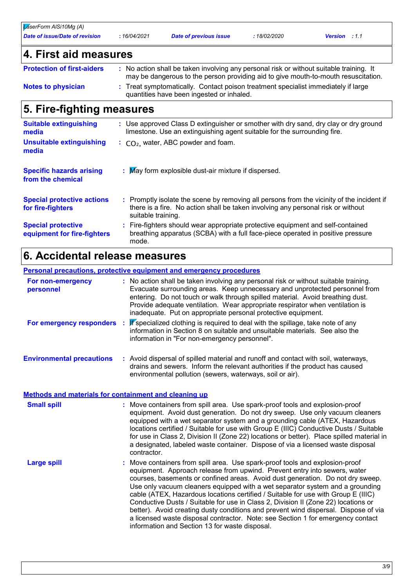*LaserForm AlSi10Mg (A)*

*Date of issue/Date of revision* **:** *16/04/2021 Date of previous issue : 18/02/2020 Version : 1.1*

| 4. First aid measures                                    |                                                                                                                                                                                                     |
|----------------------------------------------------------|-----------------------------------------------------------------------------------------------------------------------------------------------------------------------------------------------------|
| <b>Protection of first-aiders</b>                        | : No action shall be taken involving any personal risk or without suitable training. It<br>may be dangerous to the person providing aid to give mouth-to-mouth resuscitation.                       |
| <b>Notes to physician</b>                                | : Treat symptomatically. Contact poison treatment specialist immediately if large<br>quantities have been ingested or inhaled.                                                                      |
| 5. Fire-fighting measures                                |                                                                                                                                                                                                     |
| <b>Suitable extinguishing</b><br>media                   | : Use approved Class D extinguisher or smother with dry sand, dry clay or dry ground<br>limestone. Use an extinguishing agent suitable for the surrounding fire.                                    |
| <b>Unsuitable extinguishing</b><br>media                 | $\therefore$ CO <sub>2</sub> , water, ABC powder and foam.                                                                                                                                          |
| <b>Specific hazards arising</b><br>from the chemical     | : May form explosible dust-air mixture if dispersed.                                                                                                                                                |
| <b>Special protective actions</b><br>for fire-fighters   | : Promptly isolate the scene by removing all persons from the vicinity of the incident if<br>there is a fire. No action shall be taken involving any personal risk or without<br>suitable training. |
| <b>Special protective</b><br>equipment for fire-fighters | : Fire-fighters should wear appropriate protective equipment and self-contained<br>breathing apparatus (SCBA) with a full face-piece operated in positive pressure<br>mode.                         |

## **6. Accidental release measures**

| <b>Personal precautions, protective equipment and emergency procedures</b> |  |                                                                                                                                                                                                                                                                                                                                                                                                         |  |  |
|----------------------------------------------------------------------------|--|---------------------------------------------------------------------------------------------------------------------------------------------------------------------------------------------------------------------------------------------------------------------------------------------------------------------------------------------------------------------------------------------------------|--|--|
| For non-emergency<br>personnel                                             |  | : No action shall be taken involving any personal risk or without suitable training.<br>Evacuate surrounding areas. Keep unnecessary and unprotected personnel from<br>entering. Do not touch or walk through spilled material. Avoid breathing dust.<br>Provide adequate ventilation. Wear appropriate respirator when ventilation is<br>inadequate. Put on appropriate personal protective equipment. |  |  |
| For emergency responders :                                                 |  | <b>If</b> specialized clothing is required to deal with the spillage, take note of any<br>information in Section 8 on suitable and unsuitable materials. See also the<br>information in "For non-emergency personnel".                                                                                                                                                                                  |  |  |
| <b>Environmental precautions</b>                                           |  | : Avoid dispersal of spilled material and runoff and contact with soil, waterways,                                                                                                                                                                                                                                                                                                                      |  |  |

### **Methods and materials for containment and cleaning up**

| <b>Small spill</b> | : Move containers from spill area. Use spark-proof tools and explosion-proof<br>equipment. Avoid dust generation. Do not dry sweep. Use only vacuum cleaners<br>equipped with a wet separator system and a grounding cable (ATEX, Hazardous<br>locations certified / Suitable for use with Group E (IIIC) Conductive Dusts / Suitable<br>for use in Class 2, Division II (Zone 22) locations or better). Place spilled material in<br>a designated, labeled waste container. Dispose of via a licensed waste disposal<br>contractor.                                                                                                                                                                                                |
|--------------------|-------------------------------------------------------------------------------------------------------------------------------------------------------------------------------------------------------------------------------------------------------------------------------------------------------------------------------------------------------------------------------------------------------------------------------------------------------------------------------------------------------------------------------------------------------------------------------------------------------------------------------------------------------------------------------------------------------------------------------------|
| <b>Large spill</b> | : Move containers from spill area. Use spark-proof tools and explosion-proof<br>equipment. Approach release from upwind. Prevent entry into sewers, water<br>courses, basements or confined areas. Avoid dust generation. Do not dry sweep.<br>Use only vacuum cleaners equipped with a wet separator system and a grounding<br>cable (ATEX, Hazardous locations certified / Suitable for use with Group E (IIIC)<br>Conductive Dusts / Suitable for use in Class 2, Division II (Zone 22) locations or<br>better). Avoid creating dusty conditions and prevent wind dispersal. Dispose of via<br>a licensed waste disposal contractor. Note: see Section 1 for emergency contact<br>information and Section 13 for waste disposal. |

environmental pollution (sewers, waterways, soil or air).

drains and sewers. Inform the relevant authorities if the product has caused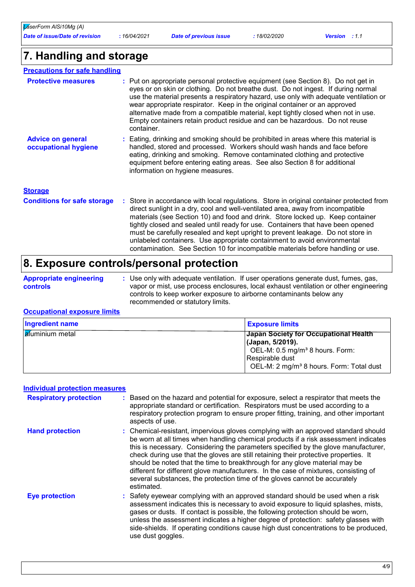### **7. Handling and storage**

| <b>Precautions for safe handling</b>                 |                                                                                                                                                                                                                                                                                                                                                                                                                                                                                                                                |
|------------------------------------------------------|--------------------------------------------------------------------------------------------------------------------------------------------------------------------------------------------------------------------------------------------------------------------------------------------------------------------------------------------------------------------------------------------------------------------------------------------------------------------------------------------------------------------------------|
| <b>Protective measures</b>                           | : Put on appropriate personal protective equipment (see Section 8). Do not get in<br>eyes or on skin or clothing. Do not breathe dust. Do not ingest. If during normal<br>use the material presents a respiratory hazard, use only with adequate ventilation or<br>wear appropriate respirator. Keep in the original container or an approved<br>alternative made from a compatible material, kept tightly closed when not in use.<br>Empty containers retain product residue and can be hazardous. Do not reuse<br>container. |
| <b>Advice on general</b><br>occupational hygiene     | : Eating, drinking and smoking should be prohibited in areas where this material is<br>handled, stored and processed. Workers should wash hands and face before<br>eating, drinking and smoking. Remove contaminated clothing and protective<br>equipment before entering eating areas. See also Section 8 for additional<br>information on hygiene measures.                                                                                                                                                                  |
| <b>Storage</b><br><b>Conditions for safe storage</b> | : Store in accordance with local regulations. Store in original container protected from                                                                                                                                                                                                                                                                                                                                                                                                                                       |
|                                                      | direct sunlight in a dry, cool and well-ventilated area, away from incompatible<br>materials (see Section 10) and food and drink. Store locked up. Keep container<br>tightly closed and sealed until ready for use. Containers that have been opened<br>must be carefully resealed and kept upright to prevent leakage. Do not store in<br>unlabeled containers. Use appropriate containment to avoid environmental<br>contamination. See Section 10 for incompatible materials before handling or use.                        |

### **8. Exposure controls/personal protection**

| <b>Appropriate engineering</b> | : Use only with adequate ventilation. If user operations generate dust, fumes, gas,   |
|--------------------------------|---------------------------------------------------------------------------------------|
| controls                       | vapor or mist, use process enclosures, local exhaust ventilation or other engineering |
|                                | controls to keep worker exposure to airborne contaminants below any                   |
|                                | recommended or statutory limits.                                                      |

### **Occupational exposure limits**

| <b>Ingredient name</b>  | <b>Exposure limits</b>                               |
|-------------------------|------------------------------------------------------|
| <b>a</b> fuminium metal | Japan Society for Occupational Health                |
|                         | (Japan, 5/2019).                                     |
|                         | OEL-M: 0.5 mg/m <sup>3</sup> 8 hours. Form:          |
|                         | Respirable dust                                      |
|                         | OEL-M: 2 mg/m <sup>3</sup> 8 hours. Form: Total dust |

#### **Individual protection measures**

| <b>Respiratory protection</b> | : Based on the hazard and potential for exposure, select a respirator that meets the<br>appropriate standard or certification. Respirators must be used according to a<br>respiratory protection program to ensure proper fitting, training, and other important<br>aspects of use.                                                                                                                                                                                                                                                                                                                                       |
|-------------------------------|---------------------------------------------------------------------------------------------------------------------------------------------------------------------------------------------------------------------------------------------------------------------------------------------------------------------------------------------------------------------------------------------------------------------------------------------------------------------------------------------------------------------------------------------------------------------------------------------------------------------------|
| <b>Hand protection</b>        | : Chemical-resistant, impervious gloves complying with an approved standard should<br>be worn at all times when handling chemical products if a risk assessment indicates<br>this is necessary. Considering the parameters specified by the glove manufacturer,<br>check during use that the gloves are still retaining their protective properties. It<br>should be noted that the time to breakthrough for any glove material may be<br>different for different glove manufacturers. In the case of mixtures, consisting of<br>several substances, the protection time of the gloves cannot be accurately<br>estimated. |
| <b>Eye protection</b>         | : Safety eyewear complying with an approved standard should be used when a risk<br>assessment indicates this is necessary to avoid exposure to liquid splashes, mists,<br>gases or dusts. If contact is possible, the following protection should be worn,<br>unless the assessment indicates a higher degree of protection: safety glasses with<br>side-shields. If operating conditions cause high dust concentrations to be produced,<br>use dust goggles.                                                                                                                                                             |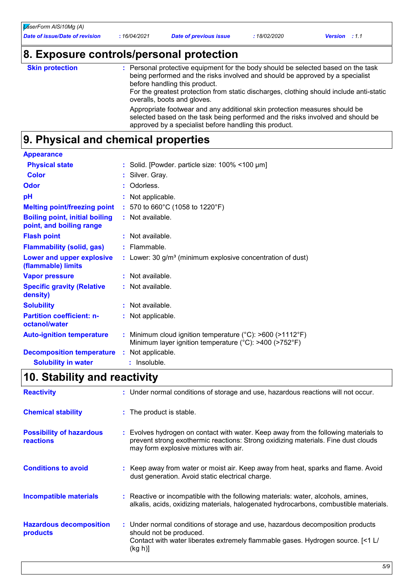### **8. Exposure controls/personal protection**

|  | <b>Skin protectio</b> |  |
|--|-----------------------|--|
|  |                       |  |
|  |                       |  |

**Skin protection Personal protective equipment for the body should be selected based on the task in the task in the task in the task in the task in the task in the task in the task in the task in the task in the task in** being performed and the risks involved and should be approved by a specialist before handling this product. For the greatest protection from static discharges, clothing should include anti-static overalls, boots and gloves. Appropriate footwear and any additional skin protection measures should be selected based on the task being performed and the risks involved and should be approved by a specialist before handling this product.

### **9. Physical and chemical properties**

| <b>Appearance</b>                                                 |                                                                                                                                           |
|-------------------------------------------------------------------|-------------------------------------------------------------------------------------------------------------------------------------------|
| <b>Physical state</b>                                             | : Solid. [Powder. particle size: 100% <100 µm]                                                                                            |
| <b>Color</b>                                                      | : Silver. Gray.                                                                                                                           |
| Odor                                                              | : Odorless.                                                                                                                               |
| рH                                                                | : Not applicable.                                                                                                                         |
| <b>Melting point/freezing point</b>                               | : 570 to 660°C (1058 to 1220°F)                                                                                                           |
| <b>Boiling point, initial boiling</b><br>point, and boiling range | : Not available.                                                                                                                          |
| <b>Flash point</b>                                                | $:$ Not available.                                                                                                                        |
| <b>Flammability (solid, gas)</b>                                  | $:$ Flammable.                                                                                                                            |
| Lower and upper explosive<br>(flammable) limits                   | : Lower: 30 g/m <sup>3</sup> (minimum explosive concentration of dust)                                                                    |
| <b>Vapor pressure</b>                                             | : Not available.                                                                                                                          |
| <b>Specific gravity (Relative</b><br>density)                     | : Not available.                                                                                                                          |
| <b>Solubility</b>                                                 | : Not available.                                                                                                                          |
| <b>Partition coefficient: n-</b><br>octanol/water                 | : Not applicable.                                                                                                                         |
| <b>Auto-ignition temperature</b>                                  | : Minimum cloud ignition temperature ( $^{\circ}$ C): >600 (>1112 $^{\circ}$ F)<br>Minimum layer ignition temperature (°C): >400 (>752°F) |
| <b>Decomposition temperature</b>                                  | : Not applicable.                                                                                                                         |
| <b>Solubility in water</b>                                        | $:$ Insoluble.                                                                                                                            |

### **10. Stability and reactivity**

| <b>Reactivity</b>                                   | : Under normal conditions of storage and use, hazardous reactions will not occur.                                                                                                                                 |
|-----------------------------------------------------|-------------------------------------------------------------------------------------------------------------------------------------------------------------------------------------------------------------------|
| <b>Chemical stability</b>                           | : The product is stable.                                                                                                                                                                                          |
| <b>Possibility of hazardous</b><br><b>reactions</b> | : Evolves hydrogen on contact with water. Keep away from the following materials to<br>prevent strong exothermic reactions: Strong oxidizing materials. Fine dust clouds<br>may form explosive mixtures with air. |
| <b>Conditions to avoid</b>                          | : Keep away from water or moist air. Keep away from heat, sparks and flame. Avoid<br>dust generation. Avoid static electrical charge.                                                                             |
| <b>Incompatible materials</b>                       | : Reactive or incompatible with the following materials: water, alcohols, amines,<br>alkalis, acids, oxidizing materials, halogenated hydrocarbons, combustible materials.                                        |
| <b>Hazardous decomposition</b><br>products          | : Under normal conditions of storage and use, hazardous decomposition products<br>should not be produced.<br>Contact with water liberates extremely flammable gases. Hydrogen source. [<1 L/<br>(kg h)]           |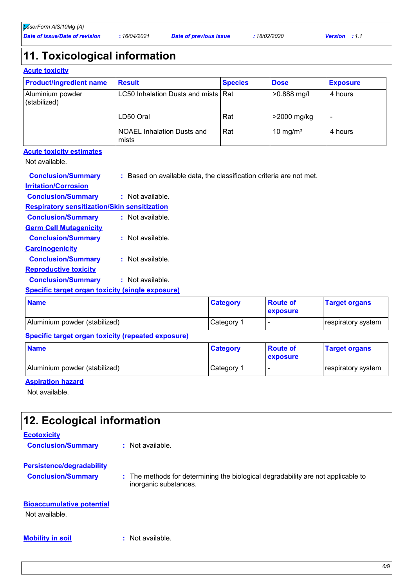### **11. Toxicological information**

|  | <b>Acute toxicity</b> |  |  |  |  |  |
|--|-----------------------|--|--|--|--|--|
|--|-----------------------|--|--|--|--|--|

| <b>Product/ingredient name</b>   | <b>Result</b>                         | <b>Species</b> | <b>Dose</b>          | <b>Exposure</b> |
|----------------------------------|---------------------------------------|----------------|----------------------|-----------------|
| Aluminium powder<br>(stabilized) | LC50 Inhalation Dusts and mists   Rat |                | $>0.888$ mg/l        | 4 hours         |
|                                  | LD50 Oral                             | Rat            | >2000 mg/kg          |                 |
|                                  | NOAEL Inhalation Dusts and<br>mists   | Rat            | 10 mg/m <sup>3</sup> | 4 hours         |

### **Acute toxicity estimates**

Not available.

| <b>SALE CONTINUES</b>                               |                             | $\sim$ $\sim$ $\sim$                                                | . | <b>Property Communications</b> |
|-----------------------------------------------------|-----------------------------|---------------------------------------------------------------------|---|--------------------------------|
| Specific target organ toxicity (single exposure)    |                             |                                                                     |   |                                |
| <b>Conclusion/Summary</b>                           | : Not available.            |                                                                     |   |                                |
| <b>Reproductive toxicity</b>                        |                             |                                                                     |   |                                |
| <b>Conclusion/Summary</b>                           | : Not available.            |                                                                     |   |                                |
| <b>Carcinogenicity</b>                              |                             |                                                                     |   |                                |
| <b>Conclusion/Summary</b>                           | $\therefore$ Not available. |                                                                     |   |                                |
| <b>Germ Cell Mutagenicity</b>                       |                             |                                                                     |   |                                |
| <b>Conclusion/Summary</b>                           | : Not available.            |                                                                     |   |                                |
| <b>Respiratory sensitization/Skin sensitization</b> |                             |                                                                     |   |                                |
| <b>Conclusion/Summary</b>                           | : Not available.            |                                                                     |   |                                |
| <b>Irritation/Corrosion</b>                         |                             |                                                                     |   |                                |
| <b>Conclusion/Summary</b>                           |                             | : Based on available data, the classification criteria are not met. |   |                                |
|                                                     |                             |                                                                     |   |                                |

| <b>Name</b>                   | <b>Category</b> | <b>Route of</b><br><b>exposure</b> | <b>Target organs</b> |
|-------------------------------|-----------------|------------------------------------|----------------------|
| Aluminium powder (stabilized) | Category 1      |                                    | respiratory system   |

#### **Specific target organ toxicity (repeated exposure)**

| <b>Name</b>                   | <b>Category</b> | <b>Route of</b><br><b>exposure</b> | <b>Target organs</b> |
|-------------------------------|-----------------|------------------------------------|----------------------|
| Aluminium powder (stabilized) | Category 1      |                                    | respiratory system   |

#### **Aspiration hazard**

Not available.

| 12. Ecological information                                    |                                                                                                           |
|---------------------------------------------------------------|-----------------------------------------------------------------------------------------------------------|
| <b>Ecotoxicity</b><br><b>Conclusion/Summary</b>               | : Not available.                                                                                          |
| <b>Persistence/degradability</b><br><b>Conclusion/Summary</b> | : The methods for determining the biological degradability are not applicable to<br>inorganic substances. |
| <b>Bioaccumulative potential</b><br>Not available.            |                                                                                                           |
| <b>Mobility in soil</b>                                       | : Not available.                                                                                          |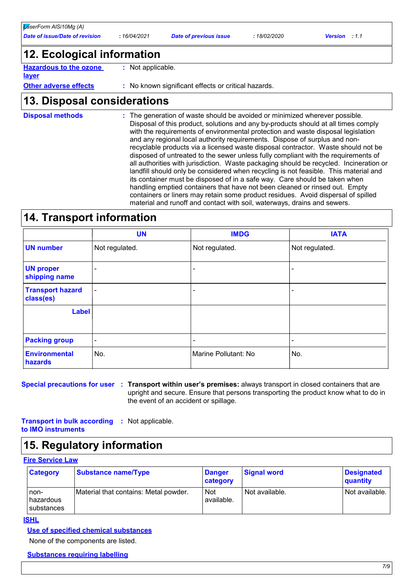### **12. Ecological information**

**Hazardous to the ozone :** Not applicable.

**layer**

**Other adverse effects**

**:** No known significant effects or critical hazards.

### **13. Disposal considerations**

The generation of waste should be avoided or minimized wherever possible. Disposal of this product, solutions and any by-products should at all times comply with the requirements of environmental protection and waste disposal legislation and any regional local authority requirements. Dispose of surplus and nonrecyclable products via a licensed waste disposal contractor. Waste should not be disposed of untreated to the sewer unless fully compliant with the requirements of all authorities with jurisdiction. Waste packaging should be recycled. Incineration or landfill should only be considered when recycling is not feasible. This material and its container must be disposed of in a safe way. Care should be taken when handling emptied containers that have not been cleaned or rinsed out. Empty containers or liners may retain some product residues. Avoid dispersal of spilled material and runoff and contact with soil, waterways, drains and sewers. **Disposal methods :**

### **14. Transport information**

|                                      | <b>UN</b>                | <b>IMDG</b>              | <b>IATA</b>    |
|--------------------------------------|--------------------------|--------------------------|----------------|
| <b>UN number</b>                     | Not regulated.           | Not regulated.           | Not regulated. |
| <b>UN proper</b><br>shipping name    | ۰                        | $\overline{\phantom{0}}$ | -              |
| <b>Transport hazard</b><br>class(es) | $\overline{\phantom{a}}$ | $\overline{\phantom{0}}$ | ۰              |
| <b>Label</b>                         |                          |                          |                |
| <b>Packing group</b>                 | ۰                        | ٠                        | -              |
| <b>Environmental</b><br>hazards      | No.                      | Marine Pollutant: No     | No.            |

**Special precautions for user Transport within user's premises:** always transport in closed containers that are **:** upright and secure. Ensure that persons transporting the product know what to do in the event of an accident or spillage.

**Transport in bulk according :** Not applicable. **to IMO instruments**

### **15. Regulatory information**

#### **Fire Service Law**

| <b>Category</b>                     | Substance name/Type                   | <b>Danger</b><br>category | <b>Signal word</b> | <b>Designated</b><br>quantity |
|-------------------------------------|---------------------------------------|---------------------------|--------------------|-------------------------------|
| non-<br>l hazardous<br>l substances | Material that contains: Metal powder. | <b>Not</b><br>available.  | Not available.     | Not available.                |

**ISHL**

### **Use of specified chemical substances**

None of the components are listed.

#### **Substances requiring labelling**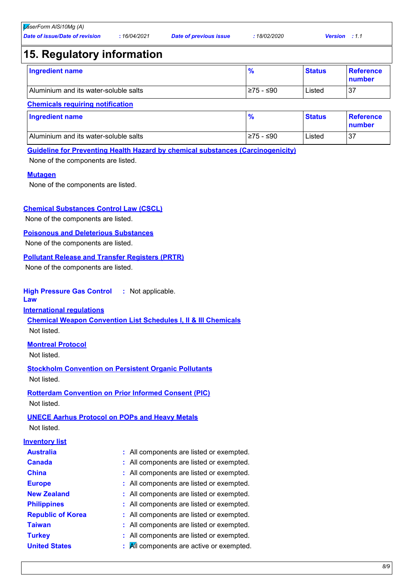### **15. Regulatory information**

| <b>Ingredient name</b>                |            | <b>Status</b> | <b>Reference</b><br>number |
|---------------------------------------|------------|---------------|----------------------------|
| Aluminium and its water-soluble salts | l≥75 - ≤90 | Listed        | -37                        |

### **Chemicals requiring notification**

| Ingredient name                       |           | <b>Status</b> | <b>Reference</b><br>number |
|---------------------------------------|-----------|---------------|----------------------------|
| Aluminium and its water-soluble salts | ≥75 - ≤90 | Listed        | 37                         |

#### **Guideline for Preventing Health Hazard by chemical substances (Carcinogenicity)**

None of the components are listed.

#### **Mutagen**

None of the components are listed.

#### **Chemical Substances Control Law (CSCL)**

None of the components are listed.

#### **Poisonous and Deleterious Substances**

None of the components are listed.

### **Pollutant Release and Transfer Registers (PRTR)**

None of the components are listed.

#### **High Pressure Gas Control :** Not applicable.

**Law**

#### **International regulations**

**Chemical Weapon Convention List Schedules I, II & III Chemicals** Not listed.

#### **Montreal Protocol**

Not listed.

**Stockholm Convention on Persistent Organic Pollutants** Not listed.

**Rotterdam Convention on Prior Informed Consent (PIC)** Not listed.

### **UNECE Aarhus Protocol on POPs and Heavy Metals**

Not listed.

#### **Inventory list**

| <b>Australia</b>         | : All components are listed or exempted. |
|--------------------------|------------------------------------------|
| <b>Canada</b>            | : All components are listed or exempted. |
| <b>China</b>             | : All components are listed or exempted. |
| <b>Europe</b>            | : All components are listed or exempted. |
| <b>New Zealand</b>       | : All components are listed or exempted. |
| <b>Philippines</b>       | : All components are listed or exempted. |
| <b>Republic of Korea</b> | : All components are listed or exempted. |
| <b>Taiwan</b>            | : All components are listed or exempted. |
| <b>Turkey</b>            | : All components are listed or exempted. |
| <b>United States</b>     | All components are active or exempted.   |